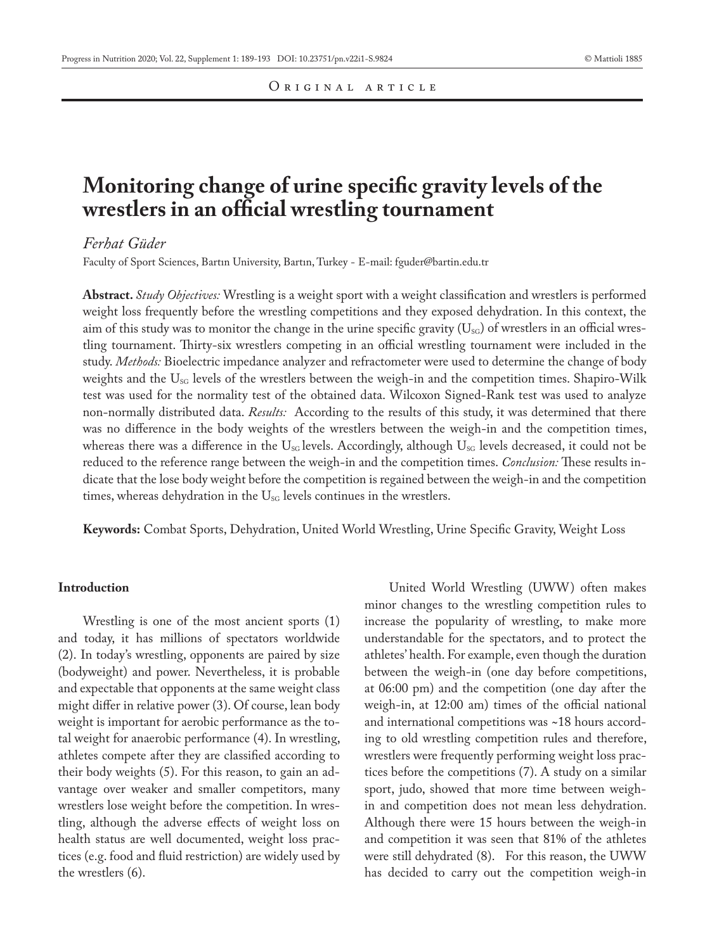# **Monitoring change of urine specific gravity levels of the wrestlers in an official wrestling tournament**

## *Ferhat Güder*

Faculty of Sport Sciences, Bartın University, Bartın, Turkey - E-mail: fguder@bartin.edu.tr

**Abstract.** *Study Objectives:* Wrestling is a weight sport with a weight classification and wrestlers is performed weight loss frequently before the wrestling competitions and they exposed dehydration. In this context, the aim of this study was to monitor the change in the urine specific gravity  $(U_{\text{SG}})$  of wrestlers in an official wrestling tournament. Thirty-six wrestlers competing in an official wrestling tournament were included in the study. *Methods:* Bioelectric impedance analyzer and refractometer were used to determine the change of body weights and the  $U_{\text{SG}}$  levels of the wrestlers between the weigh-in and the competition times. Shapiro-Wilk test was used for the normality test of the obtained data. Wilcoxon Signed-Rank test was used to analyze non-normally distributed data. *Results:* According to the results of this study, it was determined that there was no difference in the body weights of the wrestlers between the weigh-in and the competition times, whereas there was a difference in the  $U_{\text{SC}}$  levels. Accordingly, although  $U_{\text{SC}}$  levels decreased, it could not be reduced to the reference range between the weigh-in and the competition times. *Conclusion:* These results indicate that the lose body weight before the competition is regained between the weigh-in and the competition times, whereas dehydration in the  $U_{SG}$  levels continues in the wrestlers.

**Keywords:** Combat Sports, Dehydration, United World Wrestling, Urine Specific Gravity, Weight Loss

## **Introduction**

Wrestling is one of the most ancient sports (1) and today, it has millions of spectators worldwide (2). In today's wrestling, opponents are paired by size (bodyweight) and power. Nevertheless, it is probable and expectable that opponents at the same weight class might differ in relative power (3). Of course, lean body weight is important for aerobic performance as the total weight for anaerobic performance (4). In wrestling, athletes compete after they are classified according to their body weights (5). For this reason, to gain an advantage over weaker and smaller competitors, many wrestlers lose weight before the competition. In wrestling, although the adverse effects of weight loss on health status are well documented, weight loss practices (e.g. food and fluid restriction) are widely used by the wrestlers (6).

United World Wrestling (UWW) often makes minor changes to the wrestling competition rules to increase the popularity of wrestling, to make more understandable for the spectators, and to protect the athletes' health. For example, even though the duration between the weigh-in (one day before competitions, at 06:00 pm) and the competition (one day after the weigh-in, at 12:00 am) times of the official national and international competitions was ~18 hours according to old wrestling competition rules and therefore, wrestlers were frequently performing weight loss practices before the competitions (7). A study on a similar sport, judo, showed that more time between weighin and competition does not mean less dehydration. Although there were 15 hours between the weigh-in and competition it was seen that 81% of the athletes were still dehydrated (8). For this reason, the UWW has decided to carry out the competition weigh-in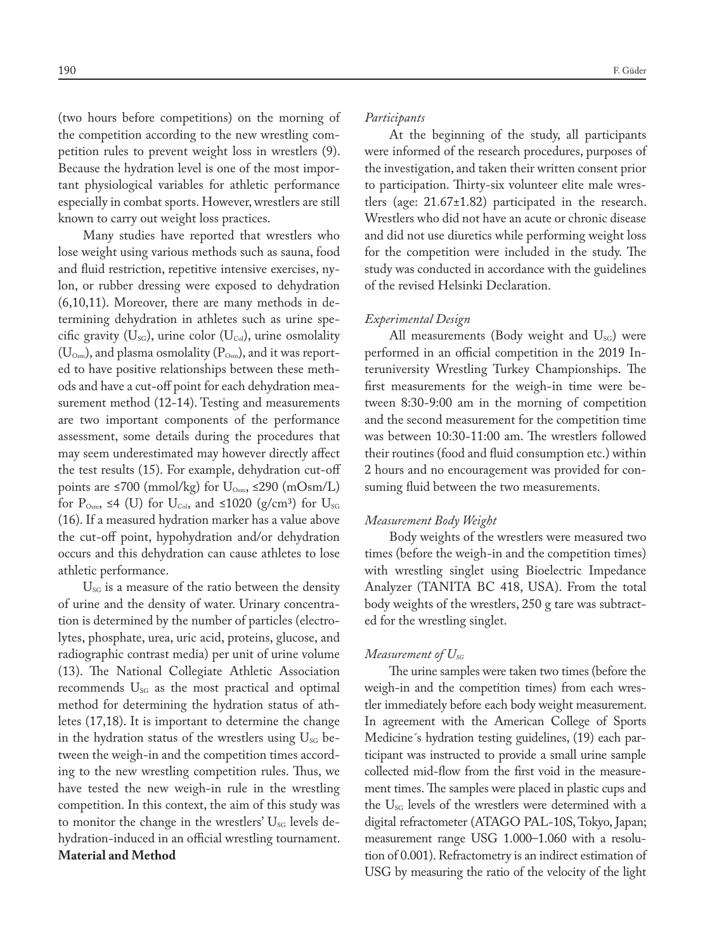(two hours before competitions) on the morning of the competition according to the new wrestling competition rules to prevent weight loss in wrestlers (9). Because the hydration level is one of the most important physiological variables for athletic performance especially in combat sports. However, wrestlers are still known to carry out weight loss practices.

Many studies have reported that wrestlers who lose weight using various methods such as sauna, food and fluid restriction, repetitive intensive exercises, nylon, or rubber dressing were exposed to dehydration (6,10,11). Moreover, there are many methods in determining dehydration in athletes such as urine specific gravity ( $U_{\text{SG}}$ ), urine color ( $U_{\text{Col}}$ ), urine osmolality  $(\mathrm{U}_{\text{\tiny{Osm}}})$ , and plasma osmolality ( $\mathrm{P}_{\text{\tiny{Osm}}})$ , and it was reported to have positive relationships between these methods and have a cut-off point for each dehydration measurement method (12-14). Testing and measurements are two important components of the performance assessment, some details during the procedures that may seem underestimated may however directly affect the test results (15). For example, dehydration cut-off points are ≤700 (mmol/kg) for  $U_{\text{Osm}}$ , ≤290 (mOsm/L) for  $P_{\text{Osm}}$ , ≤4 (U) for  $U_{\text{Col}}$ , and ≤1020 (g/cm<sup>3</sup>) for  $U_{\text{SG}}$ (16). If a measured hydration marker has a value above the cut-off point, hypohydration and/or dehydration occurs and this dehydration can cause athletes to lose athletic performance.

 $U_{\rm SG}$  is a measure of the ratio between the density of urine and the density of water. Urinary concentration is determined by the number of particles (electrolytes, phosphate, urea, uric acid, proteins, glucose, and radiographic contrast media) per unit of urine volume (13). The National Collegiate Athletic Association recommends  $U_{SG}$  as the most practical and optimal method for determining the hydration status of athletes (17,18). It is important to determine the change in the hydration status of the wrestlers using  $U_{\text{SG}}$  between the weigh-in and the competition times according to the new wrestling competition rules. Thus, we have tested the new weigh-in rule in the wrestling competition. In this context, the aim of this study was to monitor the change in the wrestlers'  $U_{\rm SG}$  levels dehydration-induced in an official wrestling tournament. **Material and Method**

## *Participants*

At the beginning of the study, all participants were informed of the research procedures, purposes of the investigation, and taken their written consent prior to participation. Thirty-six volunteer elite male wrestlers (age: 21.67±1.82) participated in the research. Wrestlers who did not have an acute or chronic disease and did not use diuretics while performing weight loss for the competition were included in the study. The study was conducted in accordance with the guidelines of the revised Helsinki Declaration.

### *Experimental Design*

All measurements (Body weight and  $U_{SG}$ ) were performed in an official competition in the 2019 Interuniversity Wrestling Turkey Championships. The first measurements for the weigh-in time were between 8:30-9:00 am in the morning of competition and the second measurement for the competition time was between 10:30-11:00 am. The wrestlers followed their routines (food and fluid consumption etc.) within 2 hours and no encouragement was provided for consuming fluid between the two measurements.

#### *Measurement Body Weight*

Body weights of the wrestlers were measured two times (before the weigh-in and the competition times) with wrestling singlet using Bioelectric Impedance Analyzer (TANITA BC 418, USA). From the total body weights of the wrestlers, 250 g tare was subtracted for the wrestling singlet.

#### *Measurement of*  $U_{SG}$

The urine samples were taken two times (before the weigh-in and the competition times) from each wrestler immediately before each body weight measurement. In agreement with the American College of Sports Medicine´s hydration testing guidelines, (19) each participant was instructed to provide a small urine sample collected mid-flow from the first void in the measurement times. The samples were placed in plastic cups and the  $U_{\rm SG}$  levels of the wrestlers were determined with a digital refractometer (ATAGO PAL-10S, Tokyo, Japan; measurement range USG 1.000–1.060 with a resolution of 0.001). Refractometry is an indirect estimation of USG by measuring the ratio of the velocity of the light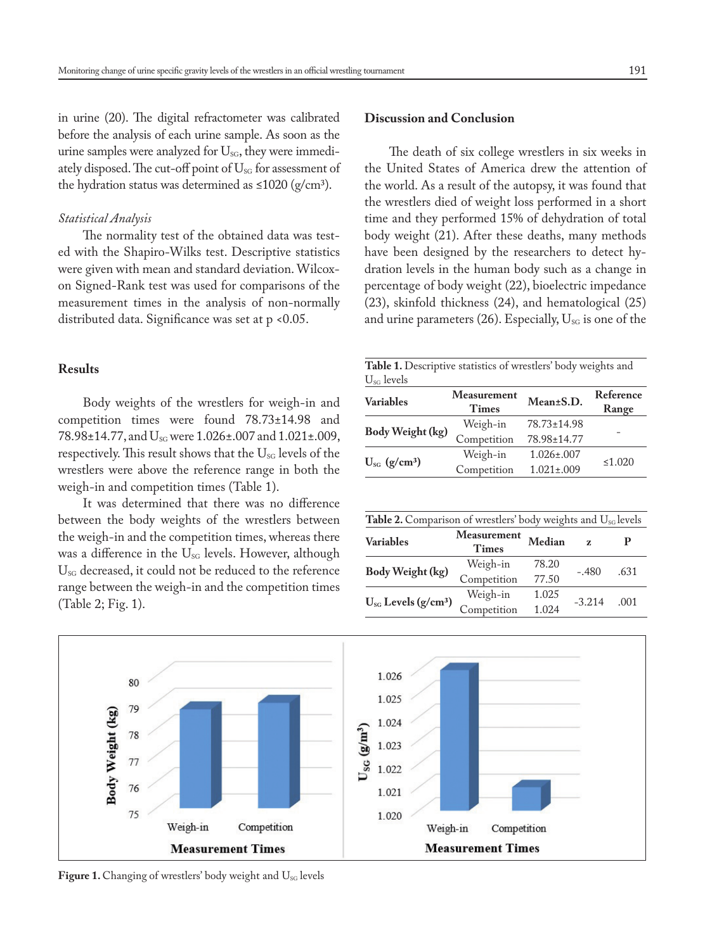in urine (20). The digital refractometer was calibrated before the analysis of each urine sample. As soon as the urine samples were analyzed for U<sub>SG</sub>, they were immediately disposed. The cut-off point of  $U_{\text{SG}}$  for assessment of the hydration status was determined as  $\leq 1020$  (g/cm<sup>3</sup>).

## *Statistical Analysis*

The normality test of the obtained data was tested with the Shapiro-Wilks test. Descriptive statistics were given with mean and standard deviation. Wilcoxon Signed-Rank test was used for comparisons of the measurement times in the analysis of non-normally distributed data. Significance was set at p <0.05.

## **Results**

Body weights of the wrestlers for weigh-in and competition times were found 78.73±14.98 and 78.98±14.77, and U<sub>sG</sub> were 1.026±.007 and 1.021±.009, respectively. This result shows that the U<sub>SG</sub> levels of the wrestlers were above the reference range in both the weigh-in and competition times (Table 1).

It was determined that there was no difference between the body weights of the wrestlers between the weigh-in and the competition times, whereas there was a difference in the U<sub>SG</sub> levels. However, although U<sub>SG</sub> decreased, it could not be reduced to the reference range between the weigh-in and the competition times (Table 2; Fig. 1).

# **Discussion and Conclusion**

The death of six college wrestlers in six weeks in the United States of America drew the attention of the world. As a result of the autopsy, it was found that the wrestlers died of weight loss performed in a short time and they performed 15% of dehydration of total body weight (21). After these deaths, many methods have been designed by the researchers to detect hydration levels in the human body such as a change in percentage of body weight (22), bioelectric impedance (23), skinfold thickness (24), and hematological (25) and urine parameters (26). Especially,  $U_{SG}$  is one of the

| <b>Table 1.</b> Descriptive statistics of wrestlers' body weights and<br>$U_{\rm SG}$ levels |                             |                   |                    |  |  |
|----------------------------------------------------------------------------------------------|-----------------------------|-------------------|--------------------|--|--|
| <b>Variables</b>                                                                             | Measurement<br><b>Times</b> | Mean±S.D.         | Reference<br>Range |  |  |
| Body Weight (kg)                                                                             | Weigh-in                    | 78.73±14.98       |                    |  |  |
|                                                                                              | Competition                 | 78.98±14.77       |                    |  |  |
| $U_{\rm sc}$ (g/cm <sup>3</sup> )                                                            | Weigh-in                    | $1.026 \pm 0.007$ | ≤1.020             |  |  |
|                                                                                              | Competition                 | $1.021 \pm 0.009$ |                    |  |  |

| <b>Table 2.</b> Comparison of wrestlers' body weights and $U_{\text{SG}}$ levels |                                                     |          |      |  |  |
|----------------------------------------------------------------------------------|-----------------------------------------------------|----------|------|--|--|
| Measurement<br><b>Times</b>                                                      | Median                                              | Z.       | р    |  |  |
| Weigh-in                                                                         | 78.20                                               | $-.480$  | .631 |  |  |
| Competition                                                                      | 77.50                                               |          |      |  |  |
| Weigh-in                                                                         | 1.025                                               | $-3.214$ | .001 |  |  |
|                                                                                  | 1.024                                               |          |      |  |  |
|                                                                                  | $U_{SG}$ Levels (g/cm <sup>3</sup> )<br>Competition |          |      |  |  |



Figure 1. Changing of wrestlers' body weight and U<sub>SG</sub> levels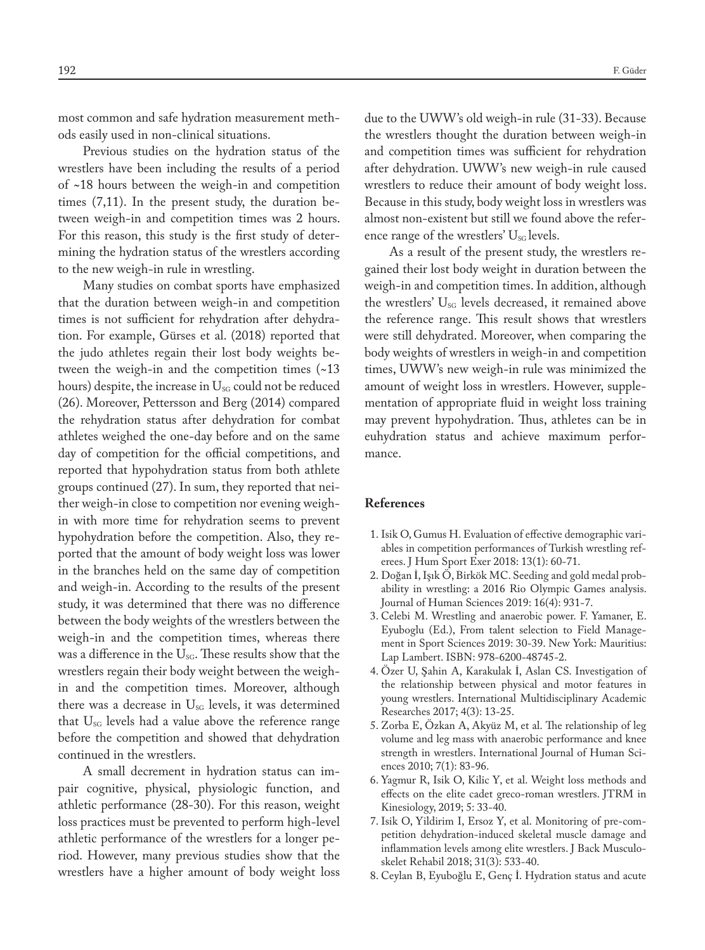most common and safe hydration measurement methods easily used in non-clinical situations.

Previous studies on the hydration status of the wrestlers have been including the results of a period of ~18 hours between the weigh-in and competition times (7,11). In the present study, the duration between weigh-in and competition times was 2 hours. For this reason, this study is the first study of determining the hydration status of the wrestlers according to the new weigh-in rule in wrestling.

Many studies on combat sports have emphasized that the duration between weigh-in and competition times is not sufficient for rehydration after dehydration. For example, Gürses et al. (2018) reported that the judo athletes regain their lost body weights between the weigh-in and the competition times (~13 hours) despite, the increase in  $U_{\text{SG}}$  could not be reduced (26). Moreover, Pettersson and Berg (2014) compared the rehydration status after dehydration for combat athletes weighed the one-day before and on the same day of competition for the official competitions, and reported that hypohydration status from both athlete groups continued (27). In sum, they reported that neither weigh-in close to competition nor evening weighin with more time for rehydration seems to prevent hypohydration before the competition. Also, they reported that the amount of body weight loss was lower in the branches held on the same day of competition and weigh-in. According to the results of the present study, it was determined that there was no difference between the body weights of the wrestlers between the weigh-in and the competition times, whereas there was a difference in the  $U_{SG}$ . These results show that the wrestlers regain their body weight between the weighin and the competition times. Moreover, although there was a decrease in  $U_{\text{SG}}$  levels, it was determined that  $U_{SG}$  levels had a value above the reference range before the competition and showed that dehydration continued in the wrestlers.

A small decrement in hydration status can impair cognitive, physical, physiologic function, and athletic performance (28-30). For this reason, weight loss practices must be prevented to perform high-level athletic performance of the wrestlers for a longer period. However, many previous studies show that the wrestlers have a higher amount of body weight loss due to the UWW's old weigh-in rule (31-33). Because the wrestlers thought the duration between weigh-in and competition times was sufficient for rehydration after dehydration. UWW's new weigh-in rule caused wrestlers to reduce their amount of body weight loss. Because in this study, body weight loss in wrestlers was almost non-existent but still we found above the reference range of the wrestlers'  $U_{\rm SG}$  levels.

As a result of the present study, the wrestlers regained their lost body weight in duration between the weigh-in and competition times. In addition, although the wrestlers'  $U_{SG}$  levels decreased, it remained above the reference range. This result shows that wrestlers were still dehydrated. Moreover, when comparing the body weights of wrestlers in weigh-in and competition times, UWW's new weigh-in rule was minimized the amount of weight loss in wrestlers. However, supplementation of appropriate fluid in weight loss training may prevent hypohydration. Thus, athletes can be in euhydration status and achieve maximum performance.

## **References**

- 1. Isik O, Gumus H. Evaluation of effective demographic variables in competition performances of Turkish wrestling referees. J Hum Sport Exer 2018: 13(1): 60-71.
- 2. Doğan İ, Işık Ö, Birkök MC. Seeding and gold medal probability in wrestling: a 2016 Rio Olympic Games analysis. Journal of Human Sciences 2019: 16(4): 931-7.
- 3. Celebi M. Wrestling and anaerobic power. F. Yamaner, E. Eyuboglu (Ed.), From talent selection to Field Management in Sport Sciences 2019: 30-39. New York: Mauritius: Lap Lambert. ISBN: 978-6200-48745-2.
- 4. Özer U, Şahin A, Karakulak İ, Aslan CS. Investigation of the relationship between physical and motor features in young wrestlers. International Multidisciplinary Academic Researches 2017; 4(3): 13-25.
- 5. Zorba E, Özkan A, Akyüz M, et al. The relationship of leg volume and leg mass with anaerobic performance and knee strength in wrestlers. International Journal of Human Sciences 2010; 7(1): 83-96.
- 6. Yagmur R, Isik O, Kilic Y, et al. Weight loss methods and effects on the elite cadet greco-roman wrestlers. JTRM in Kinesiology, 2019; 5: 33-40.
- 7. Isik O, Yildirim I, Ersoz Y, et al. Monitoring of pre-competition dehydration-induced skeletal muscle damage and inflammation levels among elite wrestlers. J Back Musculoskelet Rehabil 2018; 31(3): 533-40.
- 8. Ceylan B, Eyuboğlu E, Genç İ. Hydration status and acute